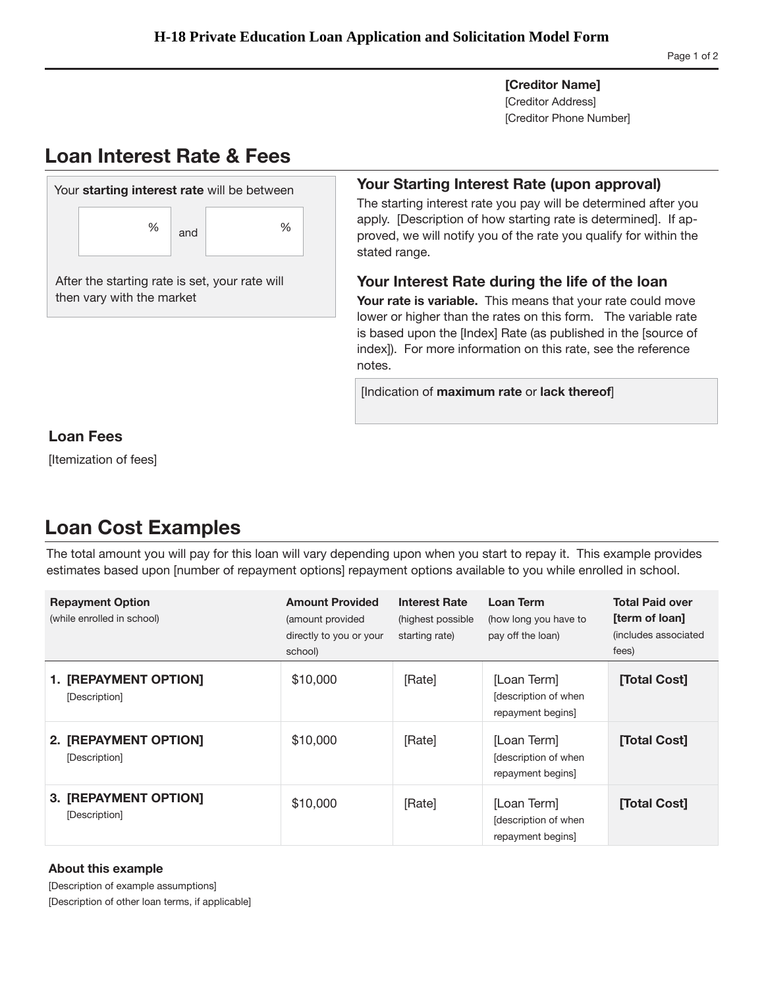**[Creditor Name]**  [Creditor Address] [Creditor Phone Number]

# **Loan Interest Rate & Fees**



### **Your Starting Interest Rate (upon approval)**

The starting interest rate you pay will be determined after you apply. [Description of how starting rate is determined]. If approved, we will notify you of the rate you qualify for within the stated range.

### **Your Interest Rate during the life of the loan**

**Your rate is variable.** This means that your rate could move lower or higher than the rates on this form. The variable rate is based upon the [Index] Rate (as published in the [source of index]). For more information on this rate, see the reference notes.

[Indication of **maximum rate** or **lack thereof**]

## **Loan Fees**

[Itemization of fees]

## **Loan Cost Examples**

The total amount you will pay for this loan will vary depending upon when you start to repay it. This example provides estimates based upon [number of repayment options] repayment options available to you while enrolled in school.

| <b>Repayment Option</b><br>(while enrolled in school) | <b>Amount Provided</b><br>(amount provided<br>directly to you or your<br>school) | <b>Interest Rate</b><br>(highest possible<br>starting rate) | Loan Term<br>(how long you have to<br>pay off the loan) | <b>Total Paid over</b><br>[term of loan]<br>(includes associated<br>fees) |
|-------------------------------------------------------|----------------------------------------------------------------------------------|-------------------------------------------------------------|---------------------------------------------------------|---------------------------------------------------------------------------|
| 1. [REPAYMENT OPTION]<br>[Description]                | \$10,000                                                                         | [Rate]                                                      | [Loan Term]<br>description of when<br>repayment begins] | [Total Cost]                                                              |
| 2. [REPAYMENT OPTION]<br>[Description]                | \$10,000                                                                         | [Rate]                                                      | [Loan Term]<br>description of when<br>repayment begins] | [Total Cost]                                                              |
| 3. [REPAYMENT OPTION]<br>[Description]                | \$10,000                                                                         | [Rate]                                                      | [Loan Term]<br>description of when<br>repayment begins  | [Total Cost]                                                              |

### **About this example**

[Description of example assumptions] [Description of other loan terms, if applicable]